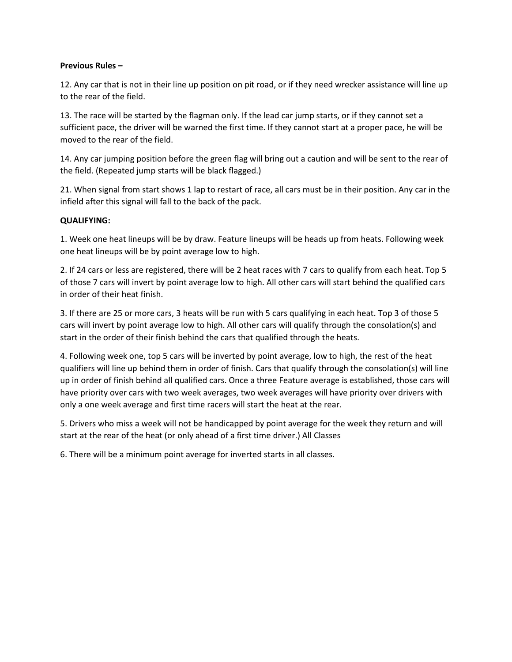### **Previous Rules –**

12. Any car that is not in their line up position on pit road, or if they need wrecker assistance will line up to the rear of the field.

13. The race will be started by the flagman only. If the lead car jump starts, or if they cannot set a sufficient pace, the driver will be warned the first time. If they cannot start at a proper pace, he will be moved to the rear of the field.

14. Any car jumping position before the green flag will bring out a caution and will be sent to the rear of the field. (Repeated jump starts will be black flagged.)

21. When signal from start shows 1 lap to restart of race, all cars must be in their position. Any car in the infield after this signal will fall to the back of the pack.

### **QUALIFYING:**

1. Week one heat lineups will be by draw. Feature lineups will be heads up from heats. Following week one heat lineups will be by point average low to high.

2. If 24 cars or less are registered, there will be 2 heat races with 7 cars to qualify from each heat. Top 5 of those 7 cars will invert by point average low to high. All other cars will start behind the qualified cars in order of their heat finish.

3. If there are 25 or more cars, 3 heats will be run with 5 cars qualifying in each heat. Top 3 of those 5 cars will invert by point average low to high. All other cars will qualify through the consolation(s) and start in the order of their finish behind the cars that qualified through the heats.

4. Following week one, top 5 cars will be inverted by point average, low to high, the rest of the heat qualifiers will line up behind them in order of finish. Cars that qualify through the consolation(s) will line up in order of finish behind all qualified cars. Once a three Feature average is established, those cars will have priority over cars with two week averages, two week averages will have priority over drivers with only a one week average and first time racers will start the heat at the rear.

5. Drivers who miss a week will not be handicapped by point average for the week they return and will start at the rear of the heat (or only ahead of a first time driver.) All Classes

6. There will be a minimum point average for inverted starts in all classes.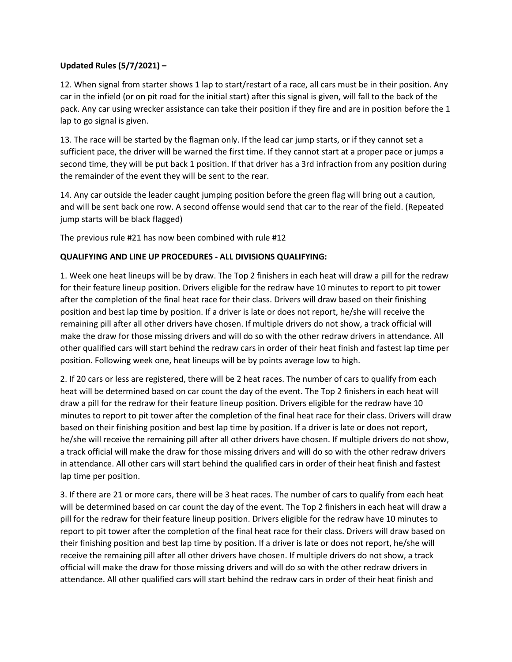# **Updated Rules (5/7/2021) –**

12. When signal from starter shows 1 lap to start/restart of a race, all cars must be in their position. Any car in the infield (or on pit road for the initial start) after this signal is given, will fall to the back of the pack. Any car using wrecker assistance can take their position if they fire and are in position before the 1 lap to go signal is given.

13. The race will be started by the flagman only. If the lead car jump starts, or if they cannot set a sufficient pace, the driver will be warned the first time. If they cannot start at a proper pace or jumps a second time, they will be put back 1 position. If that driver has a 3rd infraction from any position during the remainder of the event they will be sent to the rear.

14. Any car outside the leader caught jumping position before the green flag will bring out a caution, and will be sent back one row. A second offense would send that car to the rear of the field. (Repeated jump starts will be black flagged)

The previous rule #21 has now been combined with rule #12

# **QUALIFYING AND LINE UP PROCEDURES - ALL DIVISIONS QUALIFYING:**

1. Week one heat lineups will be by draw. The Top 2 finishers in each heat will draw a pill for the redraw for their feature lineup position. Drivers eligible for the redraw have 10 minutes to report to pit tower after the completion of the final heat race for their class. Drivers will draw based on their finishing position and best lap time by position. If a driver is late or does not report, he/she will receive the remaining pill after all other drivers have chosen. If multiple drivers do not show, a track official will make the draw for those missing drivers and will do so with the other redraw drivers in attendance. All other qualified cars will start behind the redraw cars in order of their heat finish and fastest lap time per position. Following week one, heat lineups will be by points average low to high.

2. If 20 cars or less are registered, there will be 2 heat races. The number of cars to qualify from each heat will be determined based on car count the day of the event. The Top 2 finishers in each heat will draw a pill for the redraw for their feature lineup position. Drivers eligible for the redraw have 10 minutes to report to pit tower after the completion of the final heat race for their class. Drivers will draw based on their finishing position and best lap time by position. If a driver is late or does not report, he/she will receive the remaining pill after all other drivers have chosen. If multiple drivers do not show, a track official will make the draw for those missing drivers and will do so with the other redraw drivers in attendance. All other cars will start behind the qualified cars in order of their heat finish and fastest lap time per position.

3. If there are 21 or more cars, there will be 3 heat races. The number of cars to qualify from each heat will be determined based on car count the day of the event. The Top 2 finishers in each heat will draw a pill for the redraw for their feature lineup position. Drivers eligible for the redraw have 10 minutes to report to pit tower after the completion of the final heat race for their class. Drivers will draw based on their finishing position and best lap time by position. If a driver is late or does not report, he/she will receive the remaining pill after all other drivers have chosen. If multiple drivers do not show, a track official will make the draw for those missing drivers and will do so with the other redraw drivers in attendance. All other qualified cars will start behind the redraw cars in order of their heat finish and